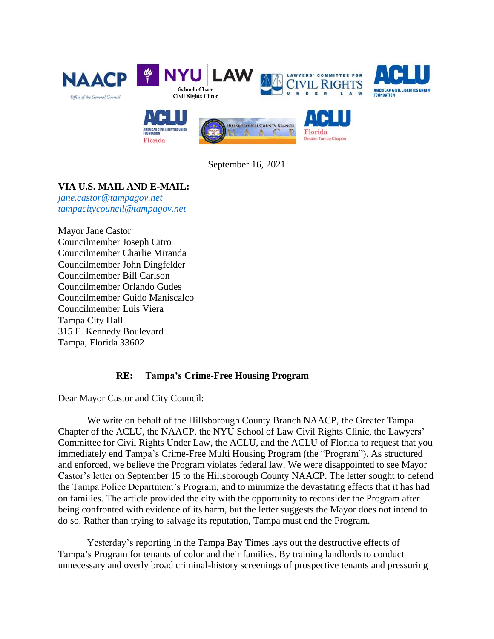

September 16, 2021

# **VIA U.S. MAIL AND E-MAIL:**

*[jane.castor@tampagov.net](mailto:jane.castor@tampagov.net) [tampacitycouncil@tampagov.net](mailto:tampacitycouncil@tampagov.net)*

Mayor Jane Castor Councilmember Joseph Citro Councilmember Charlie Miranda Councilmember John Dingfelder Councilmember Bill Carlson Councilmember Orlando Gudes Councilmember Guido Maniscalco Councilmember Luis Viera Tampa City Hall 315 E. Kennedy Boulevard Tampa, Florida 33602

# **RE: Tampa's Crime-Free Housing Program**

Dear Mayor Castor and City Council:

We write on behalf of the Hillsborough County Branch NAACP, the Greater Tampa Chapter of the ACLU, the NAACP, the NYU School of Law Civil Rights Clinic, the Lawyers' Committee for Civil Rights Under Law, the ACLU, and the ACLU of Florida to request that you immediately end Tampa's Crime-Free Multi Housing Program (the "Program"). As structured and enforced, we believe the Program violates federal law. We were disappointed to see Mayor Castor's letter on September 15 to the Hillsborough County NAACP. The letter sought to defend the Tampa Police Department's Program, and to minimize the devastating effects that it has had on families. The article provided the city with the opportunity to reconsider the Program after being confronted with evidence of its harm, but the letter suggests the Mayor does not intend to do so. Rather than trying to salvage its reputation, Tampa must end the Program.

Yesterday's reporting in the Tampa Bay Times lays out the destructive effects of Tampa's Program for tenants of color and their families. By training landlords to conduct unnecessary and overly broad criminal-history screenings of prospective tenants and pressuring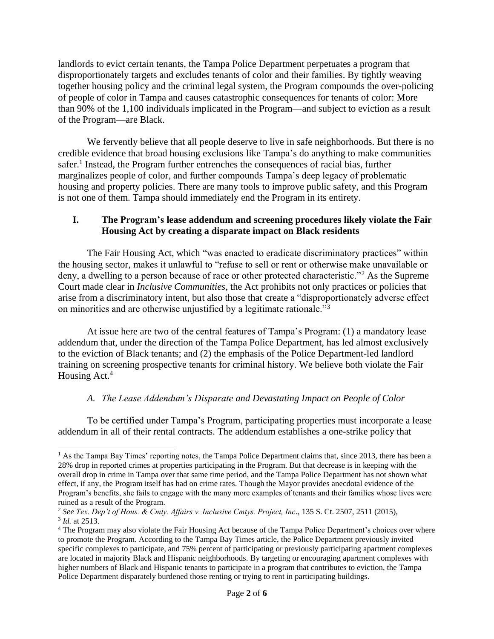landlords to evict certain tenants, the Tampa Police Department perpetuates a program that disproportionately targets and excludes tenants of color and their families. By tightly weaving together housing policy and the criminal legal system, the Program compounds the over-policing of people of color in Tampa and causes catastrophic consequences for tenants of color: More than 90% of the 1,100 individuals implicated in the Program—and subject to eviction as a result of the Program—are Black.

We fervently believe that all people deserve to live in safe neighborhoods. But there is no credible evidence that broad housing exclusions like Tampa's do anything to make communities safer.<sup>1</sup> Instead, the Program further entrenches the consequences of racial bias, further marginalizes people of color, and further compounds Tampa's deep legacy of problematic housing and property policies. There are many tools to improve public safety, and this Program is not one of them. Tampa should immediately end the Program in its entirety.

### **I. The Program's lease addendum and screening procedures likely violate the Fair Housing Act by creating a disparate impact on Black residents**

The Fair Housing Act, which "was enacted to eradicate discriminatory practices" within the housing sector, makes it unlawful to "refuse to sell or rent or otherwise make unavailable or deny, a dwelling to a person because of race or other protected characteristic."<sup>2</sup> As the Supreme Court made clear in *Inclusive Communities*, the Act prohibits not only practices or policies that arise from a discriminatory intent, but also those that create a "disproportionately adverse effect on minorities and are otherwise unjustified by a legitimate rationale."<sup>3</sup>

At issue here are two of the central features of Tampa's Program: (1) a mandatory lease addendum that, under the direction of the Tampa Police Department, has led almost exclusively to the eviction of Black tenants; and (2) the emphasis of the Police Department-led landlord training on screening prospective tenants for criminal history. We believe both violate the Fair Housing Act.<sup>4</sup>

#### *A. The Lease Addendum's Disparate and Devastating Impact on People of Color*

To be certified under Tampa's Program, participating properties must incorporate a lease addendum in all of their rental contracts. The addendum establishes a one-strike policy that

<sup>&</sup>lt;sup>1</sup> As the Tampa Bay Times' reporting notes, the Tampa Police Department claims that, since 2013, there has been a 28% drop in reported crimes at properties participating in the Program. But that decrease is in keeping with the overall drop in crime in Tampa over that same time period, and the Tampa Police Department has not shown what effect, if any, the Program itself has had on crime rates. Though the Mayor provides anecdotal evidence of the Program's benefits, she fails to engage with the many more examples of tenants and their families whose lives were ruined as a result of the Program.

<sup>2</sup> *See Tex. Dep't of Hous. & Cmty. Affairs v. Inclusive Cmtys. Project, Inc*., 135 S. Ct. 2507, 2511 (2015), 3 *Id.* at 2513.

<sup>4</sup> The Program may also violate the Fair Housing Act because of the Tampa Police Department's choices over where to promote the Program. According to the Tampa Bay Times article, the Police Department previously invited specific complexes to participate, and 75% percent of participating or previously participating apartment complexes are located in majority Black and Hispanic neighborhoods. By targeting or encouraging apartment complexes with higher numbers of Black and Hispanic tenants to participate in a program that contributes to eviction, the Tampa Police Department disparately burdened those renting or trying to rent in participating buildings.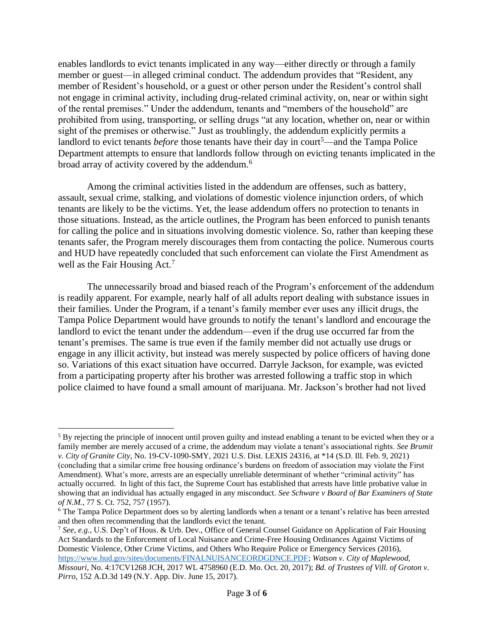enables landlords to evict tenants implicated in any way—either directly or through a family member or guest—in alleged criminal conduct. The addendum provides that "Resident, any member of Resident's household, or a guest or other person under the Resident's control shall not engage in criminal activity, including drug-related criminal activity, on, near or within sight of the rental premises." Under the addendum, tenants and "members of the household" are prohibited from using, transporting, or selling drugs "at any location, whether on, near or within sight of the premises or otherwise." Just as troublingly, the addendum explicitly permits a landlord to evict tenants *before* those tenants have their day in court<sup>5</sup>—and the Tampa Police Department attempts to ensure that landlords follow through on evicting tenants implicated in the broad array of activity covered by the addendum.<sup>6</sup>

Among the criminal activities listed in the addendum are offenses, such as battery, assault, sexual crime, stalking, and violations of domestic violence injunction orders, of which tenants are likely to be the victims. Yet, the lease addendum offers no protection to tenants in those situations. Instead, as the article outlines, the Program has been enforced to punish tenants for calling the police and in situations involving domestic violence. So, rather than keeping these tenants safer, the Program merely discourages them from contacting the police. Numerous courts and HUD have repeatedly concluded that such enforcement can violate the First Amendment as well as the Fair Housing Act.<sup>7</sup>

The unnecessarily broad and biased reach of the Program's enforcement of the addendum is readily apparent. For example, nearly half of all adults report dealing with substance issues in their families. Under the Program, if a tenant's family member ever uses any illicit drugs, the Tampa Police Department would have grounds to notify the tenant's landlord and encourage the landlord to evict the tenant under the addendum—even if the drug use occurred far from the tenant's premises. The same is true even if the family member did not actually use drugs or engage in any illicit activity, but instead was merely suspected by police officers of having done so. Variations of this exact situation have occurred. Darryle Jackson, for example, was evicted from a participating property after his brother was arrested following a traffic stop in which police claimed to have found a small amount of marijuana. Mr. Jackson's brother had not lived

<sup>7</sup> *See, e.g.*, U.S. Dep't of Hous. & Urb. Dev., Office of General Counsel Guidance on Application of Fair Housing Act Standards to the Enforcement of Local Nuisance and Crime-Free Housing Ordinances Against Victims of Domestic Violence, Other Crime Victims, and Others Who Require Police or Emergency Services (2016), [https://www.hud.gov/sites/documents/FINALNUISANCEORDGDNCE.PDF;](https://www.hud.gov/sites/documents/FINALNUISANCEORDGDNCE.PDF) *Watson v. City of Maplewood, Missouri*, No. 4:17CV1268 JCH, 2017 WL 4758960 (E.D. Mo. Oct. 20, 2017); *Bd. of Trustees of Vill. of Groton v. Pirro*, 152 A.D.3d 149 (N.Y. App. Div. June 15, 2017).

<sup>5</sup> By rejecting the principle of innocent until proven guilty and instead enabling a tenant to be evicted when they or a family member are merely accused of a crime, the addendum may violate a tenant's associational rights. *See Brumit v. City of Granite City*, No. 19-CV-1090-SMY, 2021 U.S. Dist. LEXIS 24316, at \*14 (S.D. Ill. Feb. 9, 2021) (concluding that a similar crime free housing ordinance's burdens on freedom of association may violate the First Amendment). What's more, arrests are an especially unreliable determinant of whether "criminal activity" has actually occurred. In light of this fact, the Supreme Court has established that arrests have little probative value in showing that an individual has actually engaged in any misconduct. *See Schware v Board of Bar Examiners of State of N.M.*, 77 S. Ct. 752, 757 (1957).

<sup>&</sup>lt;sup>6</sup> The Tampa Police Department does so by alerting landlords when a tenant or a tenant's relative has been arrested and then often recommending that the landlords evict the tenant.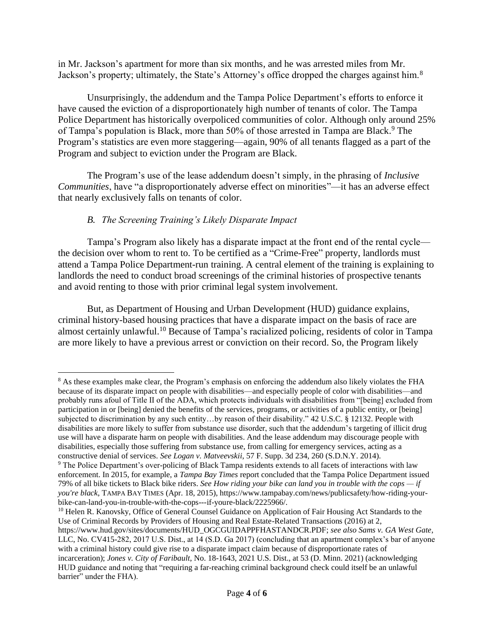in Mr. Jackson's apartment for more than six months, and he was arrested miles from Mr. Jackson's property; ultimately, the State's Attorney's office dropped the charges against him.<sup>8</sup>

Unsurprisingly, the addendum and the Tampa Police Department's efforts to enforce it have caused the eviction of a disproportionately high number of tenants of color. The Tampa Police Department has historically overpoliced communities of color. Although only around 25% of Tampa's population is Black, more than 50% of those arrested in Tampa are Black.<sup>9</sup> The Program's statistics are even more staggering—again, 90% of all tenants flagged as a part of the Program and subject to eviction under the Program are Black.

The Program's use of the lease addendum doesn't simply, in the phrasing of *Inclusive Communities*, have "a disproportionately adverse effect on minorities"—it has an adverse effect that nearly exclusively falls on tenants of color.

# *B. The Screening Training's Likely Disparate Impact*

Tampa's Program also likely has a disparate impact at the front end of the rental cycle the decision over whom to rent to. To be certified as a "Crime-Free" property, landlords must attend a Tampa Police Department-run training. A central element of the training is explaining to landlords the need to conduct broad screenings of the criminal histories of prospective tenants and avoid renting to those with prior criminal legal system involvement.

But, as Department of Housing and Urban Development (HUD) guidance explains, criminal history-based housing practices that have a disparate impact on the basis of race are almost certainly unlawful. <sup>10</sup> Because of Tampa's racialized policing, residents of color in Tampa are more likely to have a previous arrest or conviction on their record. So, the Program likely

<sup>&</sup>lt;sup>8</sup> As these examples make clear, the Program's emphasis on enforcing the addendum also likely violates the FHA because of its disparate impact on people with disabilities—and especially people of color with disabilities—and probably runs afoul of Title II of the ADA, which protects individuals with disabilities from "[being] excluded from participation in or [being] denied the benefits of the services, programs, or activities of a public entity, or [being] subjected to discrimination by any such entity…by reason of their disability." 42 U.S.C. § 12132. People with disabilities are more likely to suffer from substance use disorder, such that the addendum's targeting of illicit drug use will have a disparate harm on people with disabilities. And the lease addendum may discourage people with disabilities, especially those suffering from substance use, from calling for emergency services, acting as a constructive denial of services. *See Logan v. Matveevskii*, 57 F. Supp. 3d 234, 260 (S.D.N.Y. 2014).

<sup>9</sup> The Police Department's over-policing of Black Tampa residents extends to all facets of interactions with law enforcement. In 2015, for example, a *Tampa Bay Times* report concluded that the Tampa Police Department issued 79% of all bike tickets to Black bike riders. *See How riding your bike can land you in trouble with the cops — if you're black*, TAMPA BAY TIMES (Apr. 18, 2015), https://www.tampabay.com/news/publicsafety/how-riding-yourbike-can-land-you-in-trouble-with-the-cops---if-youre-black/2225966/.

<sup>&</sup>lt;sup>10</sup> Helen R. Kanovsky, Office of General Counsel Guidance on Application of Fair Housing Act Standards to the Use of Criminal Records by Providers of Housing and Real Estate-Related Transactions (2016) at 2, [https://www.hud.gov/sites/documents/HUD\\_OGCGUIDAPPFHASTANDCR.PDF;](https://www.hud.gov/sites/documents/HUD_OGCGUIDAPPFHASTANDCR.PDF) *see also Sams v. GA West Gate*, LLC, No. CV415-282, 2017 U.S. Dist., at 14 (S.D. Ga 2017) (concluding that an apartment complex's bar of anyone with a criminal history could give rise to a disparate impact claim because of disproportionate rates of incarceration); *Jones v. City of Faribault*, No. 18-1643, 2021 U.S. Dist., at 53 (D. Minn. 2021) (acknowledging HUD guidance and noting that "requiring a far-reaching criminal background check could itself be an unlawful barrier" under the FHA).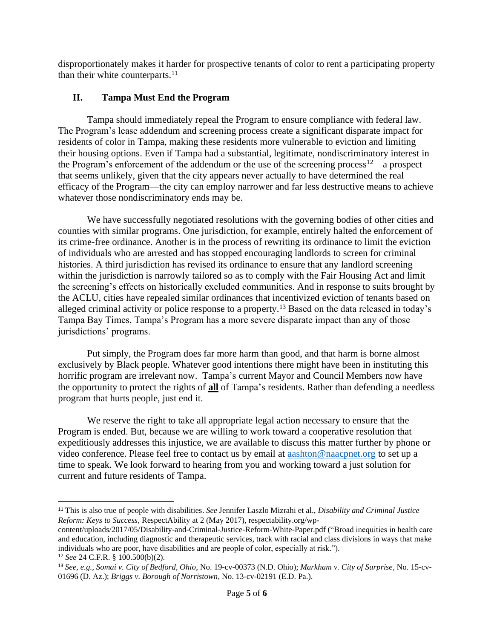disproportionately makes it harder for prospective tenants of color to rent a participating property than their white counterparts. $11$ 

### **II. Tampa Must End the Program**

Tampa should immediately repeal the Program to ensure compliance with federal law. The Program's lease addendum and screening process create a significant disparate impact for residents of color in Tampa, making these residents more vulnerable to eviction and limiting their housing options. Even if Tampa had a substantial, legitimate, nondiscriminatory interest in the Program's enforcement of the addendum or the use of the screening process<sup>12</sup>—a prospect that seems unlikely, given that the city appears never actually to have determined the real efficacy of the Program—the city can employ narrower and far less destructive means to achieve whatever those nondiscriminatory ends may be.

We have successfully negotiated resolutions with the governing bodies of other cities and counties with similar programs. One jurisdiction, for example, entirely halted the enforcement of its crime-free ordinance. Another is in the process of rewriting its ordinance to limit the eviction of individuals who are arrested and has stopped encouraging landlords to screen for criminal histories. A third jurisdiction has revised its ordinance to ensure that any landlord screening within the jurisdiction is narrowly tailored so as to comply with the Fair Housing Act and limit the screening's effects on historically excluded communities. And in response to suits brought by the ACLU, cities have repealed similar ordinances that incentivized eviction of tenants based on alleged criminal activity or police response to a property.<sup>13</sup> Based on the data released in today's Tampa Bay Times, Tampa's Program has a more severe disparate impact than any of those jurisdictions' programs.

Put simply, the Program does far more harm than good, and that harm is borne almost exclusively by Black people. Whatever good intentions there might have been in instituting this horrific program are irrelevant now. Tampa's current Mayor and Council Members now have the opportunity to protect the rights of **all** of Tampa's residents. Rather than defending a needless program that hurts people, just end it.

We reserve the right to take all appropriate legal action necessary to ensure that the Program is ended. But, because we are willing to work toward a cooperative resolution that expeditiously addresses this injustice, we are available to discuss this matter further by phone or video conference. Please feel free to contact us by email at [aashton@naacpnet.org](mailto:aashton@naacpnet.org) to set up a time to speak. We look forward to hearing from you and working toward a just solution for current and future residents of Tampa.

<sup>11</sup> This is also true of people with disabilities. *See* Jennifer Laszlo Mizrahi et al., *Disability and Criminal Justice Reform: Keys to Success*, RespectAbility at 2 (May 2017), respectability.org/wp-

content/uploads/2017/05/Disability-and-Criminal-Justice-Reform-White-Paper.pdf ("Broad inequities in health care and education, including diagnostic and therapeutic services, track with racial and class divisions in ways that make individuals who are poor, have disabilities and are people of color, especially at risk.").

<sup>12</sup> *See* 24 C.F.R. § 100.500(b)(2).

<sup>13</sup> *See, e.g., Somai v. City of Bedford, Ohio*, No. 19-cv-00373 (N.D. Ohio); *Markham v. City of Surprise*, No. 15-cv-01696 (D. Az.); *Briggs v. Borough of Norristown*, No. 13-cv-02191 (E.D. Pa.).